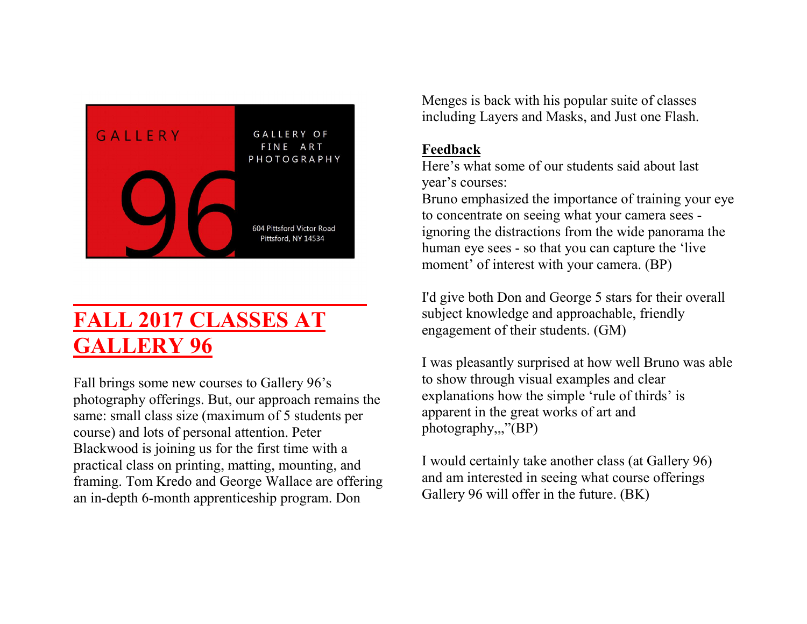

# FALL 2017 CLASSES AT GALLERY 96

Fall brings some new courses to Gallery 96's photography offerings. But, our approach remains the same: small class size (maximum of 5 students per course) and lots of personal attention. Peter Blackwood is joining us for the first time with a practical class on printing, matting, mounting, and framing. Tom Kredo and George Wallace are offering an in-depth 6-month apprenticeship program. Don

Menges is back with his popular suite of classes including Layers and Masks, and Just one Flash.

#### Feedback

Here's what some of our students said about last year's courses:

Bruno emphasized the importance of training your eye to concentrate on seeing what your camera sees ignoring the distractions from the wide panorama the human eye sees - so that you can capture the 'live moment' of interest with your camera. (BP)

I'd give both Don and George 5 stars for their overall subject knowledge and approachable, friendly engagement of their students. (GM)

I was pleasantly surprised at how well Bruno was able to show through visual examples and clear explanations how the simple 'rule of thirds' is apparent in the great works of art and photography,,,"(BP)

I would certainly take another class (at Gallery 96) and am interested in seeing what course offerings Gallery 96 will offer in the future. (BK)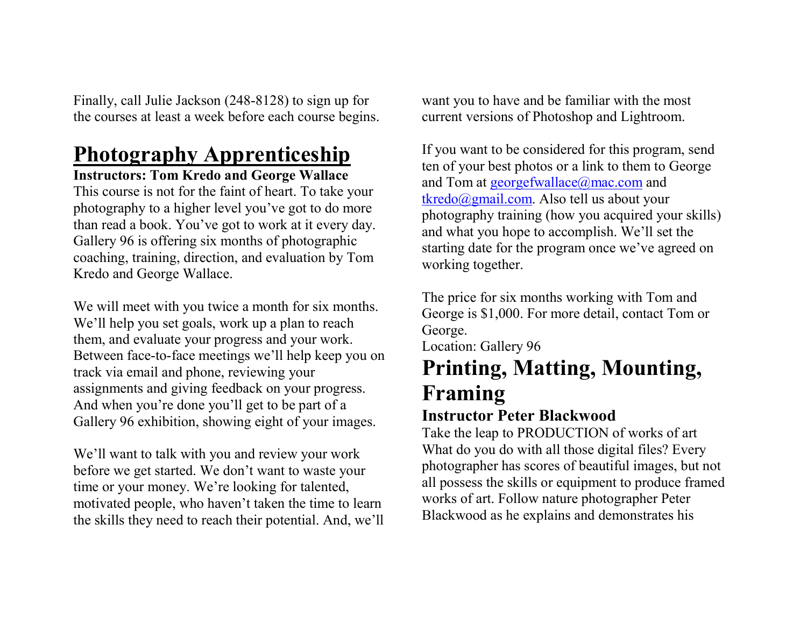Finally, call Julie Jackson (248-8128) to sign up for the courses at least a week before each course begins.

# Photography Apprenticeship

#### Instructors: Tom Kredo and George Wallace

This course is not for the faint of heart. To take your photography to a higher level you've got to do more than read a book. You've got to work at it every day. Gallery 96 is offering six months of photographic coaching, training, direction, and evaluation by Tom Kredo and George Wallace.

We will meet with you twice a month for six months. We'll help you set goals, work up a plan to reach them, and evaluate your progress and your work. Between face-to-face meetings we'll help keep you on track via email and phone, reviewing your assignments and giving feedback on your progress. And when you're done you'll get to be part of a Gallery 96 exhibition, showing eight of your images.

We'll want to talk with you and review your work before we get started. We don't want to waste your time or your money. We're looking for talented, motivated people, who haven't taken the time to learn the skills they need to reach their potential. And, we'll

want you to have and be familiar with the most current versions of Photoshop and Lightroom.

If you want to be considered for this program, send ten of your best photos or a link to them to George and Tom at georgefwallace@mac.com and tkredo@gmail.com. Also tell us about your photography training (how you acquired your skills) and what you hope to accomplish. We'll set the starting date for the program once we've agreed on working together.

The price for six months working with Tom and George is \$1,000. For more detail, contact Tom or George. Location: Gallery 96 Printing, Matting, Mounting,

## Framing Instructor Peter Blackwood

Take the leap to PRODUCTION of works of art What do you do with all those digital files? Every photographer has scores of beautiful images, but not all possess the skills or equipment to produce framed works of art. Follow nature photographer Peter Blackwood as he explains and demonstrates his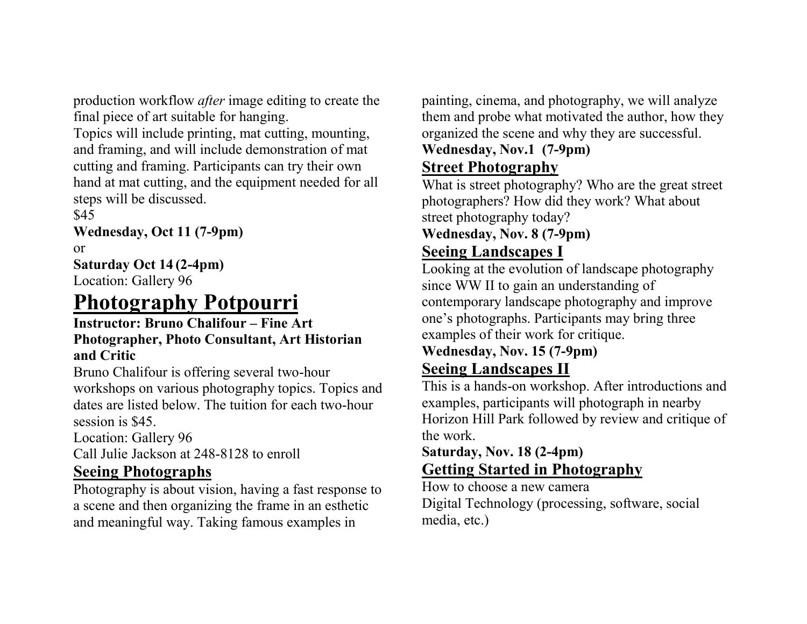production workflow after image editing to create the final piece of art suitable for hanging.

Topics will include printing, mat cutting, mounting, and framing, and will include demonstration of mat cutting and framing. Participants can try their own hand at mat cutting, and the equipment needed for all steps will be discussed.

\$45

Wednesday, Oct 11 (7-9pm)

or

#### Saturday Oct 14 (2-4pm)

Location: Gallery 96

## Photography Potpourri

#### Instructor: Bruno Chalifour – Fine Art Photographer, Photo Consultant, Art Historian and Critic

Bruno Chalifour is offering several two-hour workshops on various photography topics. Topics and dates are listed below. The tuition for each two-hour session is \$45.

Location: Gallery 96

Call Julie Jackson at 248-8128 to enroll

### Seeing Photographs

Photography is about vision, having a fast response to a scene and then organizing the frame in an esthetic and meaningful way. Taking famous examples in

painting, cinema, and photography, we will analyze them and probe what motivated the author, how they organized the scene and why they are successful.

## Wednesday, Nov.1 (7-9pm)

## Street Photography

What is street photography? Who are the great street photographers? How did they work? What about street photography today?

## Wednesday, Nov. 8 (7-9pm)

### Seeing Landscapes I

Looking at the evolution of landscape photography since WW II to gain an understanding of contemporary landscape photography and improve one's photographs. Participants may bring three examples of their work for critique.

### Wednesday, Nov. 15 (7-9pm) Seeing Landscapes II

This is a hands-on workshop. After introductions and examples, participants will photograph in nearby Horizon Hill Park followed by review and critique of the work.

### Saturday, Nov. 18 (2-4pm) Getting Started in Photography

How to choose a new camera Digital Technology (processing, software, social media, etc.)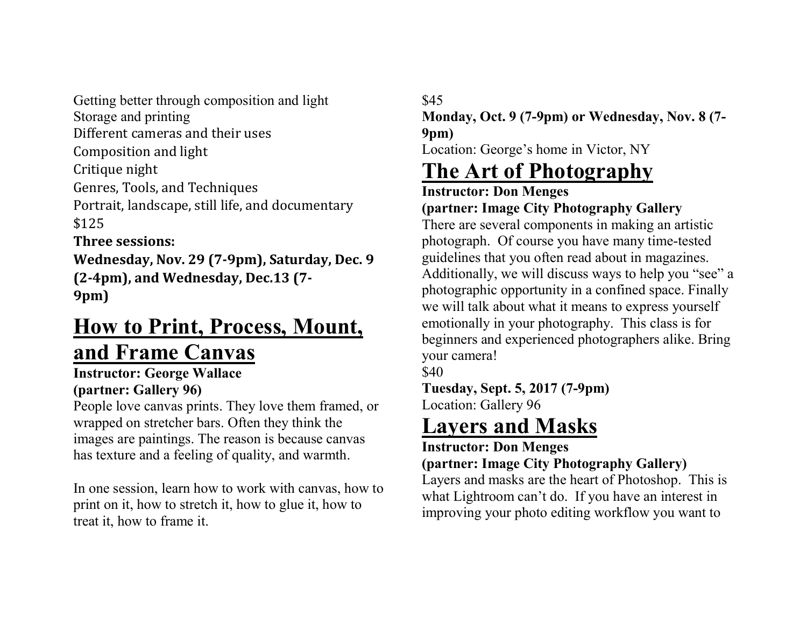Getting better through composition and light Storage and printing Different cameras and their uses Composition and light Critique night Genres, Tools, and Techniques Portrait, landscape, still life, and documentary \$125 Three sessions:

Wednesday, Nov. 29 (7-9pm), Saturday, Dec. 9 (2-4pm), and Wednesday, Dec.13 (7- 9pm)

## How to Print, Process, Mount, and Frame Canvas

#### Instructor: George Wallace (partner: Gallery 96)

People love canvas prints. They love them framed, or wrapped on stretcher bars. Often they think the images are paintings. The reason is because canvas has texture and a feeling of quality, and warmth.

In one session, learn how to work with canvas, how to print on it, how to stretch it, how to glue it, how to treat it, how to frame it.

## \$45

Monday, Oct. 9 (7-9pm) or Wednesday, Nov. 8 (7- 9pm)

Location: George's home in Victor, NY

# The Art of Photography

Instructor: Don Menges (partner: Image City Photography Gallery

There are several components in making an artistic photograph. Of course you have many time-tested guidelines that you often read about in magazines. Additionally, we will discuss ways to help you "see" a photographic opportunity in a confined space. Finally we will talk about what it means to express yourself emotionally in your photography. This class is for beginners and experienced photographers alike. Bring your camera!

\$40

Tuesday, Sept. 5, 2017 (7-9pm) Location: Gallery 96

# Layers and Masks

### Instructor: Don Menges

### (partner: Image City Photography Gallery)

Layers and masks are the heart of Photoshop. This is what Lightroom can't do. If you have an interest in improving your photo editing workflow you want to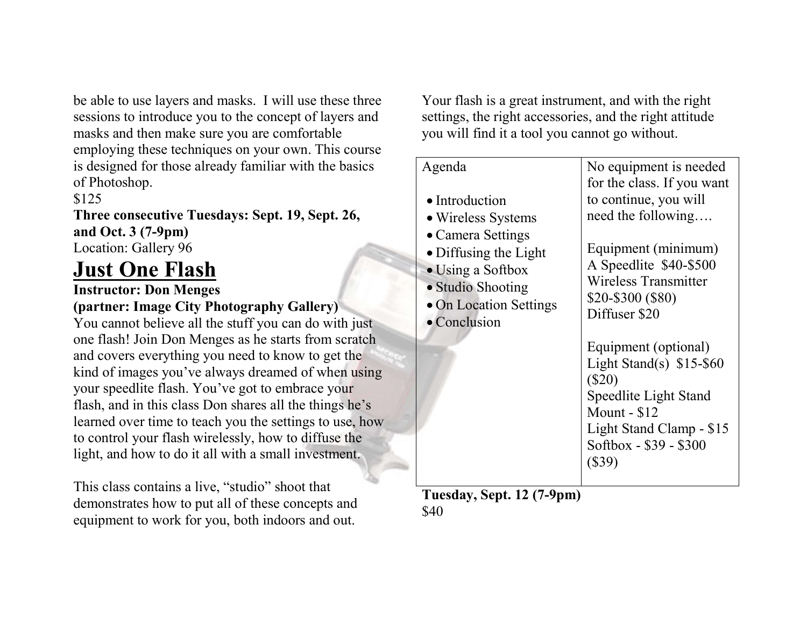be able to use layers and masks. I will use these three sessions to introduce you to the concept of layers and masks and then make sure you are comfortable employing these techniques on your own. This course is designed for those already familiar with the basics of Photoshop.

#### \$125

Three consecutive Tuesdays: Sept. 19, Sept. 26, and Oct. 3 (7-9pm) Location: Gallery 96

## Just One Flash

Instructor: Don Menges

## (partner: Image City Photography Gallery)

You cannot believe all the stuff you can do with just one flash! Join Don Menges as he starts from scratch and covers everything you need to know to get the kind of images you've always dreamed of when using your speedlite flash. You've got to embrace your flash, and in this class Don shares all the things he's learned over time to teach you the settings to use, how to control your flash wirelessly, how to diffuse the light, and how to do it all with a small investment.

This class contains a live, "studio" shoot that demonstrates how to put all of these concepts and equipment to work for you, both indoors and out.

Your flash is a great instrument, and with the right settings, the right accessories, and the right attitude you will find it a tool you cannot go without.

| Agenda<br>• Introduction<br>• Wireless Systems<br>• Camera Settings<br>• Diffusing the Light<br>• Using a Softbox<br>• Studio Shooting<br>• On Location Settings<br>$\bullet$ Conclusion | No equipment is needed<br>for the class. If you want<br>to continue, you will<br>need the following<br>Equipment (minimum)<br>A Speedlite \$40-\$500<br>Wireless Transmitter<br>\$20-\$300 (\$80)<br>Diffuser \$20<br>Equipment (optional)<br>Light Stand(s) $$15-$60$<br>$(\$20)$<br>Speedlite Light Stand<br>Mount - \$12<br>Light Stand Clamp - \$15<br>Softbox - \$39 - \$300<br>$(\$39)$ |
|------------------------------------------------------------------------------------------------------------------------------------------------------------------------------------------|-----------------------------------------------------------------------------------------------------------------------------------------------------------------------------------------------------------------------------------------------------------------------------------------------------------------------------------------------------------------------------------------------|

Tuesday, Sept. 12 (7-9pm) \$40